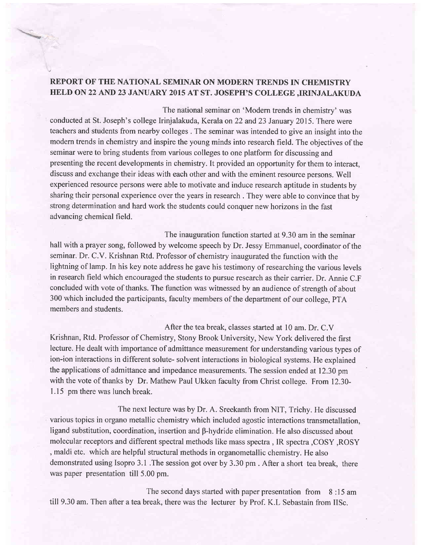## REPORT OF THE NATIONAL SEMINAR ON MODERN TRENDS IN CHEMISTRY HELD ON 22 AND 23 JANUARY 2015 AT ST. JOSEPH'S COLLEGE .IRINJALAKUDA

The national seminar on 'Modern trends in chemistry' was conducted at St. Joseph's college Irinjalakuda, Kerala on22 and23 January 2015. There were teachers and students from nearby colleges . The seminar was intended to give an insight into the modern trends in chemistry and inspire the young minds into research field. The objectives of the seminar were to bring students from various colleges to one platform for discussing and presenting the recent developments in chemistry. It provided an opportunity for them to interact, discuss and exchange their ideas with each other and with the eminent resource persons. Well experienced resource persons were able to motivate and induce research aptitude in students by sharing their personal experience over the years in research . They were able to convince that by strong determination and hard work the students could conquer new horizons in the fast advancing chemical field.

The inauguration function started at 9.30 am in the seminar hall with a prayer song, followed by welcome speech by Dr. Jessy Emmanuel, coordinator of the seminar. Dr. C.V. Krishnan Rtd. Professor of chemistry inaugurated the function with the lightning of lamp. In his key note address he gave his testimony of researching the various levels in research field which encouraged the students to pursue research as their carrier. Dr. Annie C.F concluded with vote of thanks. The function was witnessed by an audience of strength of about 300 which included the participants, faculty members of the department of our college, PTA members and students.

After the tea break, classes started at 10 am. Dr. C.V Krishnan, Rtd. Professor of Chemistry, Stony Brook University, New York delivered the first lecture. He dealt with importance of admittance measurement for understanding various types of ion-ion interactions in different solute- solvent interactions in biological systems. He explained the applications of admittance and impedance measurements. The session ended at 12.30 pm with the vote of thanks by Dr. Mathew Paul Ukken faculty from Christ college. From 12.30- <sup>1</sup>.l5 pm there was lunch break.

The next lecture was by Dr. A. Sreekanth from NIT, Trichy. He discussed various topics in organo metallic chemistry which included agostic interactions transmetallation, ligand substitution, coordination, insertion and B-hydride elimination. He also discussed about molecular receptors and different spectral methods like mass spectra , IR spectra,COSY ,ROSY , maldi etc. which are helpful structural methods in organometallic chemistry. He also demonstrated using Isopro 3.1 .The session got over by 3.30 pm . After a short tea break, there was paper presentation till 5.00 pm.

The second days started with paper presentation from 8 :15 am till 9.30 am. Then after a tea break, there was the lecturer by Prof. K.L Sebastain from IISc.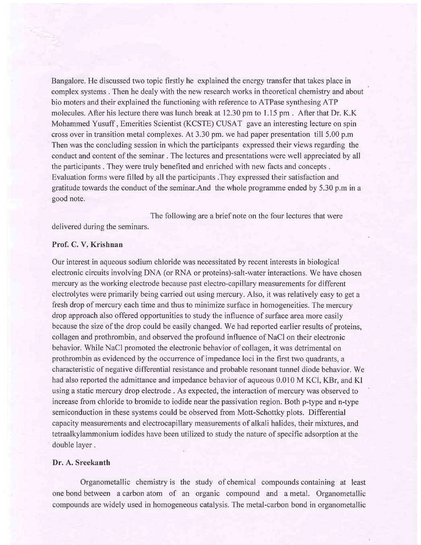Bangalore. He discussed two topic firstly he explained the energy transfer that takes place in complex systems . Then he dealy with the new research works in theoretical chemistry and about bio moters and their explained the functioning with reference to ATPase synthesing ATP molecules. After his lecture there was lunch break at 12.30 pm to 1.15 pm. After that Dr. K.K. Mohammed Yusuff , Emerities Scientist (KCSTE) CUSAT gave an interesting lecture on spin cross over in transition metal complexes. At 3.30 pm. we had paper presentation till 5.00 p.m Then was the concluding session in which the participants expressed their views regarding the conduct and content of the seminar . The lectures and presentations were well appreciated by all the participants . They were truly benefited and enriched with new facts and concepts . Evaluation forms were filled by all the participants .They expressed their satisfaction and gratitude towards the conduct of the seminar.And the whole programme ended by 5.30 p.m in a good note.

The following are a brief note on the four lectures that were delivered during the seminars.

#### Prof. C. V. Krishnan

Our interest in aqueous sodium chloride was necessitated by recent interests in biological electronic circuits involving DNA (or RNA or proteins)-salt-water interactions. We have chosen mercury as the working electrode because past electro-capillary measurements for different electrolytes were primarily being carried out using mercury. Also, it was relatively easy to get a fresh drop of mercury each time and thus to minimize surface in homogeneities. The mercury drop approach also offered opportunities to study the influence of surface area more easily because the size of the drop could be easily changed. We had reported earlier results of proteins, collagen and prothrombin, and observed the profound influence of NaCl on their electronic behavior. While NaCl promoted the electronic behavior of collagen, it was detrimental on prothrombin as evidenced by the occurrence of impedance loci in the first two quadrants, a characteristic of negative differential resistance and probable resonant tunnel diode behavior. We had also reported the admittance and impedance behavior of aqueous 0.010 M KCl, KBr, and KI using a static mercury drop electrode . As expected, the interaction of mercury was observed to increase from chloride to bromide to iodide near the passivation region. Both p-type and n-type semiconduction in these systems could be observed from Mott-Schottky plots. Differential capacity measurements and electrocapillary measurements of alkali halides, their mixtures, and tetraalkylammonium iodides have been utilized to study the nature of specific adsorption at the double layer .

### Dr. A. Sreekanth

Organometallic chemistry is the study of chemical compounds containing at least one bond between a carbon atom of an organic compound and a metal. Organometallic compounds are widely used in homogeneous catalysis. The metal-carbon bond in organometallic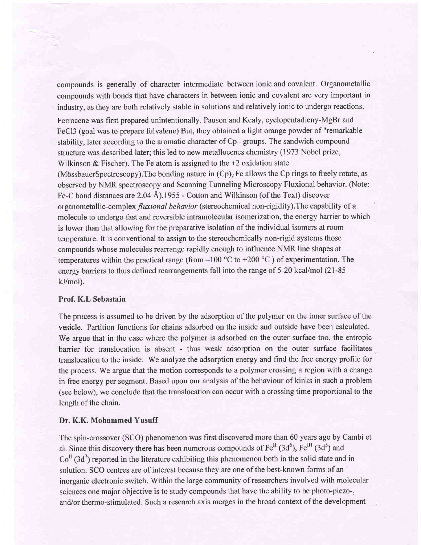compounds is generally of character intermediate between ionic and covalent. Organometallic compounds with bonds that have characters in between ionic and covalent are very important in industry, as they are both relatively stable in solutions and relatively ionic to undergo reactions.

Ferrocene was first prepared unintentionally. Pauson and Kealy, cyclopentadieny-MgBr and FeCl3 (goal was to prepare fulvalene) But, they obtained a light orange powder of "remarkable stability, later according to the aromatic character of Cp- groups. The sandwich compound structure was described later; this led to new metallocenes chemistry (1973 Nobel prize, Wilkinson & Fischer). The Fe atom is assigned to the  $+2$  oxidation state (MössbauerSpectroscopy). The bonding nature in  $(Cp)_2$  Fe allows the Cp rings to freely rotate, as observed by NMR spectroscopy and Scanning Tunneling Microscopy Fluxional behavior. (Note: Fe-C bond distances are  $2.04 \text{ Å}$ ).1955 - Cotton and Wilkinson (of the Text) discover organometallic-complex *fluxional behavior* (stereochemical non-rigidity). The capability of a molecule to undergo fast and reversible intramolecular isomerization, the energy barrier to which is lower than that allowing for the preparative isolation of the individual isomers at room temperature. It is conventional to assign to the stereochemically non-rigid systems those compounds whose molecules rearrange rapidly enough to influence NMR line shapes at temperatures within the practical range (from  $-100$  °C to  $+200$  °C) of experimentation. The energy barriers to thus defined rearrangements fall into the range of 5-20 kcal/mol (21-85) kJ/mol).

#### Prof. K.L Sebastain

The process is assumed to be driven by the adsorption of the polymer on the inner surface of the vesicle. Partition functions for chains adsorbed on the inside and outside have been calculated. We argue that in the case where the polymer is adsorbed on the outer surface too, the entropic barrier for translocation is absent - thus weak adsorption on the outer surface facilitates translocation to the inside. We analyze the adsorption energy and find the free energy profile for the process. We argue that the motion corresponds to a polymer crossing a region with a change in free energy per segment. Based upon our analysis of the behaviour of kinks in such a problem (see below), we conclude that the translocation can occur with a crossing time proportional to the length of the chain.

#### Dr. K.K. Mohammed Yusuff

The spin-crossover (SCO) phenomenon was first discovered more than 60 years ago by Cambi et al. Since this discovery there has been numerous compounds of  $Fe^{II}$  (3d<sup>6</sup>),  $Fe^{III}$  (3d<sup>5</sup>) and  $Co<sup>H</sup>(3d<sup>7</sup>)$  reported in the literature exhibiting this phenomenon both in the solid state and in solution. SCO centres are of interest because they are one of the best-known forms of an inorganic electronic switch. Within the large community of researchers involved with molecular sciences one major objective is to study compounds that have the ability to be photo-piezo-, and/or thermo-stimulated. Such a research axis merges in the broad context of the development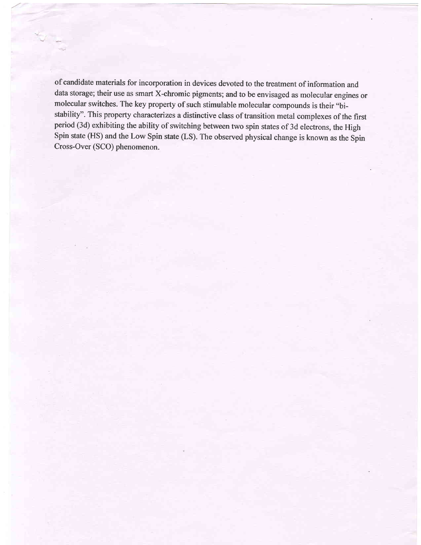of candidate materials for incorporation in devices devoted to the treatment of information and data storage; their use as smart X-chromic pigments; and to be envisaged as molecular engines or molecular switches. The key property of such stimulable molecular compounds is their "bistability". This property characterizes a distinctive class of transition metal complexes of the first period (3d) exhibiting the ability of switching between two spin states of 3d electrons, the High Spin state (HS) and the Low Spin state (LS). The observed physical change is known as the Spin Cross-Over (SCO) phenomenon.